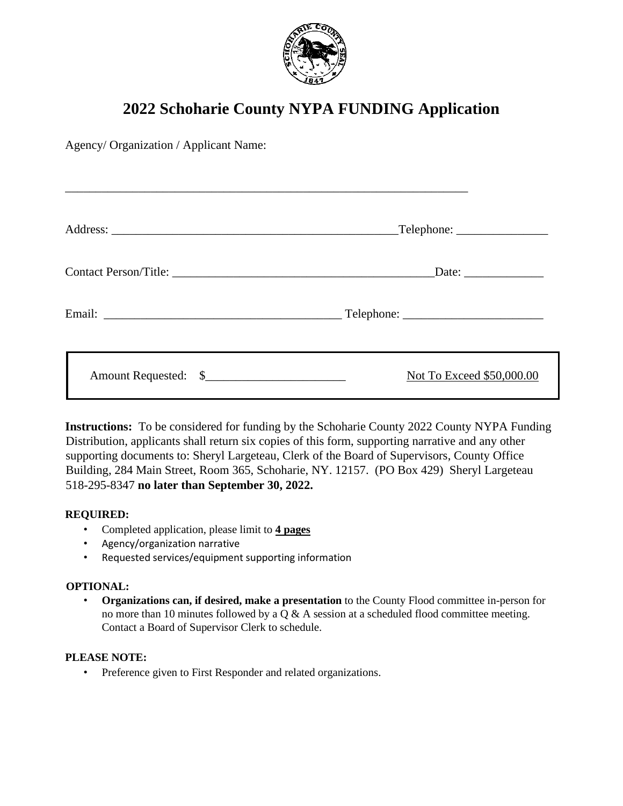

# **2022 Schoharie County NYPA FUNDING Application**

\_\_\_\_\_\_\_\_\_\_\_\_\_\_\_\_\_\_\_\_\_\_\_\_\_\_\_\_\_\_\_\_\_\_\_\_\_\_\_\_\_\_\_\_\_\_\_\_\_\_\_\_\_\_\_\_\_\_\_\_\_\_\_\_\_\_

Agency/ Organization / Applicant Name:

| $\text{Telephone:}\n\quadp{1}$ |
|--------------------------------|
|                                |
|                                |
| Not To Exceed \$50,000.00      |

**Instructions:** To be considered for funding by the Schoharie County 2022 County NYPA Funding Distribution, applicants shall return six copies of this form, supporting narrative and any other supporting documents to: Sheryl Largeteau, Clerk of the Board of Supervisors, County Office Building, 284 Main Street, Room 365, Schoharie, NY. 12157. (PO Box 429) Sheryl Largeteau 518-295-8347 **no later than September 30, 2022.**

## **REQUIRED:**

- Completed application, please limit to **4 pages**
- Agency/organization narrative
- Requested services/equipment supporting information

### **OPTIONAL:**

• **Organizations can, if desired, make a presentation** to the County Flood committee in-person for no more than 10 minutes followed by a  $Q & A$  session at a scheduled flood committee meeting. Contact a Board of Supervisor Clerk to schedule.

### **PLEASE NOTE:**

• Preference given to First Responder and related organizations.